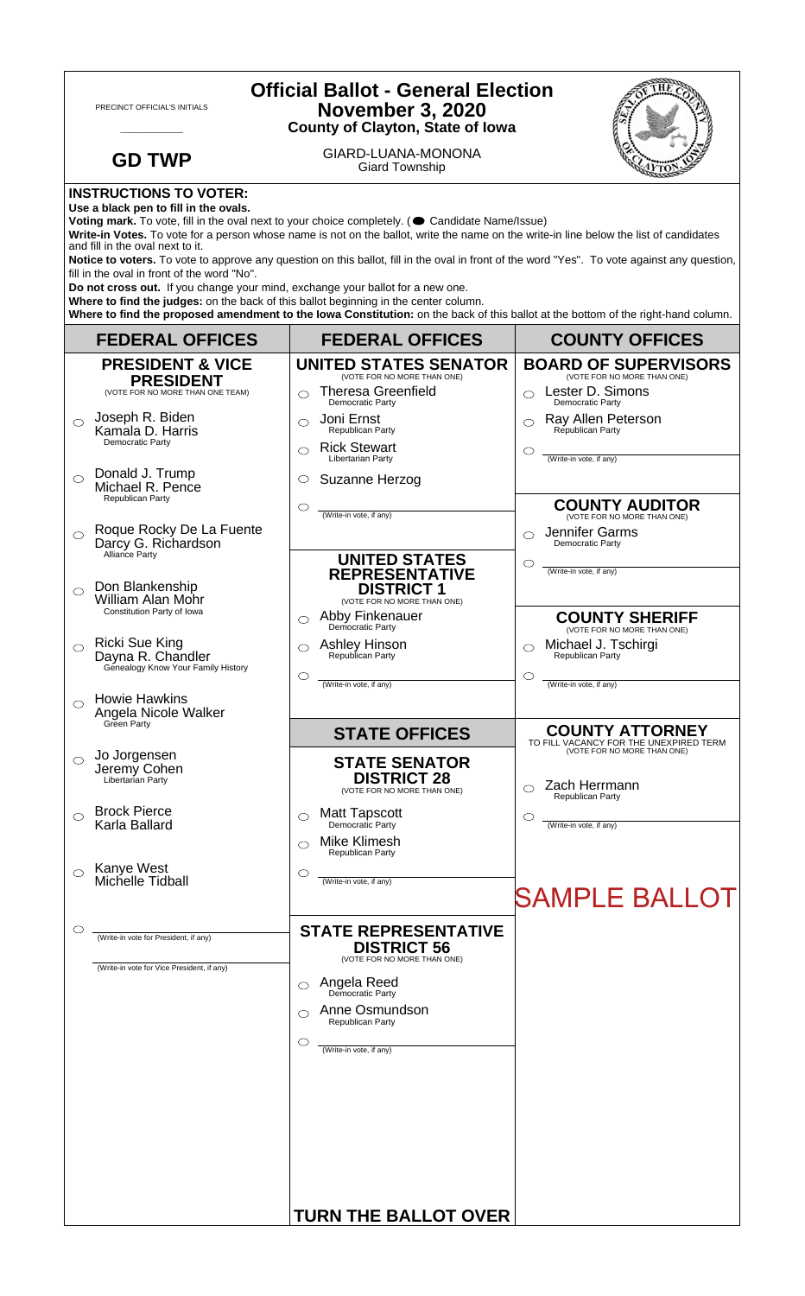| <b>Official Ballot - General Election</b><br><b>November 3, 2020</b><br>PRECINCT OFFICIAL'S INITIALS<br><b>County of Clayton, State of Iowa</b>                                                                                                                                                                                                            |                                                                                                            |                                                                                                                                                                                                                                                                                                                                                                                          |                                                                             |  |
|------------------------------------------------------------------------------------------------------------------------------------------------------------------------------------------------------------------------------------------------------------------------------------------------------------------------------------------------------------|------------------------------------------------------------------------------------------------------------|------------------------------------------------------------------------------------------------------------------------------------------------------------------------------------------------------------------------------------------------------------------------------------------------------------------------------------------------------------------------------------------|-----------------------------------------------------------------------------|--|
|                                                                                                                                                                                                                                                                                                                                                            | <b>GD TWP</b>                                                                                              | GIARD-LUANA-MONONA<br><b>Giard Township</b>                                                                                                                                                                                                                                                                                                                                              |                                                                             |  |
|                                                                                                                                                                                                                                                                                                                                                            | <b>INSTRUCTIONS TO VOTER:</b><br>Use a black pen to fill in the ovals.<br>and fill in the oval next to it. | Voting mark. To vote, fill in the oval next to your choice completely. ( Candidate Name/Issue)<br>Write-in Votes. To vote for a person whose name is not on the ballot, write the name on the write-in line below the list of candidates<br>Notice to voters. To vote to approve any question on this ballot, fill in the oval in front of the word "Yes". To vote against any question, |                                                                             |  |
| fill in the oval in front of the word "No".<br>Do not cross out. If you change your mind, exchange your ballot for a new one.<br>Where to find the judges: on the back of this ballot beginning in the center column.<br>Where to find the proposed amendment to the lowa Constitution: on the back of this ballot at the bottom of the right-hand column. |                                                                                                            |                                                                                                                                                                                                                                                                                                                                                                                          |                                                                             |  |
|                                                                                                                                                                                                                                                                                                                                                            | <b>FEDERAL OFFICES</b>                                                                                     | <b>FEDERAL OFFICES</b>                                                                                                                                                                                                                                                                                                                                                                   | <b>COUNTY OFFICES</b>                                                       |  |
|                                                                                                                                                                                                                                                                                                                                                            | <b>PRESIDENT &amp; VICE</b>                                                                                | <b>UNITED STATES SENATOR</b><br>(VOTE FOR NO MORE THAN ONE)                                                                                                                                                                                                                                                                                                                              | <b>BOARD OF SUPERVISORS</b><br>(VOTE FOR NO MORE THAN ONE)                  |  |
|                                                                                                                                                                                                                                                                                                                                                            | <b>PRESIDENT</b><br>(VOTE FOR NO MORE THAN ONE TEAM)                                                       | <b>Theresa Greenfield</b><br>◯<br>Democratic Party                                                                                                                                                                                                                                                                                                                                       | Lester D. Simons<br>$\bigcirc$<br>Democratic Party                          |  |
| $\bigcirc$                                                                                                                                                                                                                                                                                                                                                 | Joseph R. Biden<br>Kamala D. Harris<br>Democratic Party                                                    | Joni Ernst<br>◯<br>Republican Party<br><b>Rick Stewart</b><br>◯                                                                                                                                                                                                                                                                                                                          | Ray Allen Peterson<br>⌒<br>Republican Party<br>O                            |  |
|                                                                                                                                                                                                                                                                                                                                                            | Donald J. Trump                                                                                            | Libertarian Party                                                                                                                                                                                                                                                                                                                                                                        | (Write-in vote, if any)                                                     |  |
| $\bigcirc$                                                                                                                                                                                                                                                                                                                                                 | Michael R. Pence<br>Republican Party                                                                       | Suzanne Herzog<br>O                                                                                                                                                                                                                                                                                                                                                                      |                                                                             |  |
| $\bigcirc$                                                                                                                                                                                                                                                                                                                                                 | Roque Rocky De La Fuente                                                                                   | $\circlearrowright$<br>(Write-in vote, if any)                                                                                                                                                                                                                                                                                                                                           | <b>COUNTY AUDITOR</b><br>(VOTE FOR NO MORE THAN ONE)<br>Jennifer Garms<br>◯ |  |
|                                                                                                                                                                                                                                                                                                                                                            | Darcy G. Richardson<br>Alliance Party                                                                      | <b>UNITED STATES</b>                                                                                                                                                                                                                                                                                                                                                                     | Democratic Party<br>O<br>(Write-in vote, if any)                            |  |
| $\bigcirc$                                                                                                                                                                                                                                                                                                                                                 | Don Blankenship<br>William Alan Mohr                                                                       | <b>REPRESENTATIVE</b><br><b>DISTRICT 1</b><br>(VOTE FOR NO MORE THAN ONE)                                                                                                                                                                                                                                                                                                                |                                                                             |  |
|                                                                                                                                                                                                                                                                                                                                                            | Constitution Party of Iowa                                                                                 | Abby Finkenauer<br>◯<br>Democratic Party                                                                                                                                                                                                                                                                                                                                                 | <b>COUNTY SHERIFF</b><br>(VOTE FOR NO MORE THAN ONE)                        |  |
|                                                                                                                                                                                                                                                                                                                                                            | <b>Ricki Sue King</b><br>Dayna R. Chandler<br>Genealogy Know Your Family History                           | Ashley Hinson<br>Republican Party<br>O                                                                                                                                                                                                                                                                                                                                                   | Michael J. Tschirgi<br>◯<br>Republican Party                                |  |
|                                                                                                                                                                                                                                                                                                                                                            | <b>Howie Hawkins</b>                                                                                       | $\circ$<br>(Write-in vote, if any)                                                                                                                                                                                                                                                                                                                                                       | C<br>(Write-in vote, if any)                                                |  |
| ◯                                                                                                                                                                                                                                                                                                                                                          | Angela Nicole Walker<br>Green Party                                                                        | <b>STATE OFFICES</b>                                                                                                                                                                                                                                                                                                                                                                     | <b>COUNTY ATTORNEY</b><br>TO FILL VACANCY FOR THE UNEXPIRED TERM            |  |
| $\circ$                                                                                                                                                                                                                                                                                                                                                    | Jo Jorgensen<br>Jeremy Cohen<br>Libertarian Party                                                          | <b>STATE SENATOR</b><br><b>DISTRICT 28</b>                                                                                                                                                                                                                                                                                                                                               | (VOTE FOR NO MORE THAN ONE)<br>Zach Herrmann                                |  |
|                                                                                                                                                                                                                                                                                                                                                            | <b>Brock Pierce</b>                                                                                        | (VOTE FOR NO MORE THAN ONE)<br><b>Matt Tapscott</b>                                                                                                                                                                                                                                                                                                                                      | Republican Party                                                            |  |
|                                                                                                                                                                                                                                                                                                                                                            | Karla Ballard                                                                                              | $\circ$<br>Democratic Party<br>Mike Klimesh                                                                                                                                                                                                                                                                                                                                              | O<br>(Write-in vote, if any)                                                |  |
|                                                                                                                                                                                                                                                                                                                                                            |                                                                                                            | ⌒<br>Republican Party                                                                                                                                                                                                                                                                                                                                                                    |                                                                             |  |
|                                                                                                                                                                                                                                                                                                                                                            | Kanye West<br>Michelle Tidball                                                                             | $\circ$<br>(Write-in vote, if any)                                                                                                                                                                                                                                                                                                                                                       | <b>SAMPLE BALLOT</b>                                                        |  |
|                                                                                                                                                                                                                                                                                                                                                            |                                                                                                            |                                                                                                                                                                                                                                                                                                                                                                                          |                                                                             |  |
|                                                                                                                                                                                                                                                                                                                                                            | (Write-in vote for President, if any)                                                                      | <b>STATE REPRESENTATIVE</b><br><b>DISTRICT 56</b><br>(VOTE FOR NO MORE THAN ONE)                                                                                                                                                                                                                                                                                                         |                                                                             |  |
|                                                                                                                                                                                                                                                                                                                                                            | (Write-in vote for Vice President, if any)                                                                 | <b>Angela Reed</b><br>Democratic Party<br>◯                                                                                                                                                                                                                                                                                                                                              |                                                                             |  |
|                                                                                                                                                                                                                                                                                                                                                            |                                                                                                            | Anne Osmundson<br>◯                                                                                                                                                                                                                                                                                                                                                                      |                                                                             |  |
|                                                                                                                                                                                                                                                                                                                                                            |                                                                                                            | Republican Party<br>$\circlearrowright$                                                                                                                                                                                                                                                                                                                                                  |                                                                             |  |
|                                                                                                                                                                                                                                                                                                                                                            |                                                                                                            | (Write-in vote, if any)                                                                                                                                                                                                                                                                                                                                                                  |                                                                             |  |
|                                                                                                                                                                                                                                                                                                                                                            |                                                                                                            |                                                                                                                                                                                                                                                                                                                                                                                          |                                                                             |  |
|                                                                                                                                                                                                                                                                                                                                                            |                                                                                                            | <b>TURN THE BALLOT OVER</b>                                                                                                                                                                                                                                                                                                                                                              |                                                                             |  |